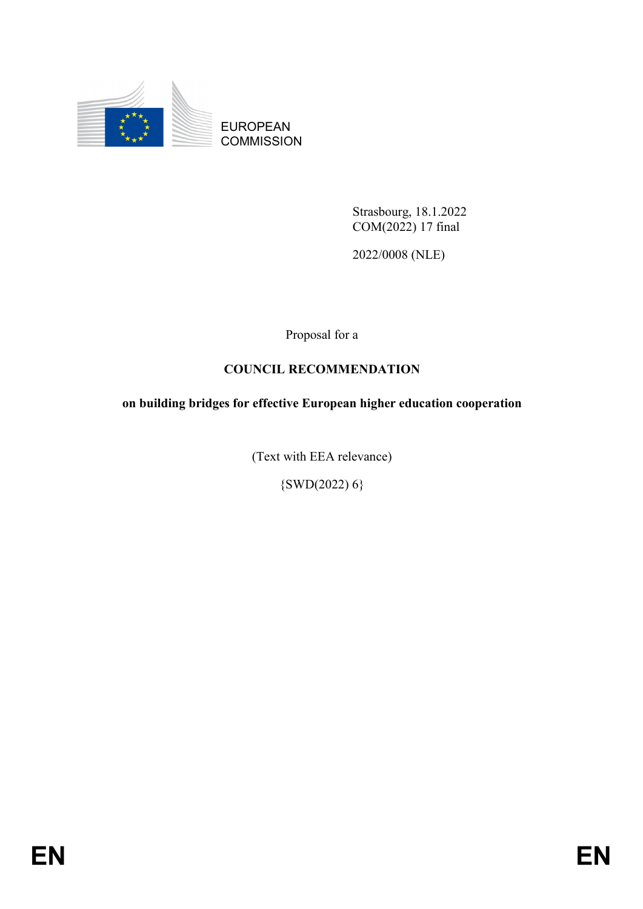

EUROPEAN **COMMISSION** 

> Strasbourg, 18.1.2022 COM(2022) 17 final

2022/0008 (NLE)

Proposal for a

# **COUNCIL RECOMMENDATION**

**on building bridges for effective European higher education cooperation**

(Text with EEA relevance)

 $\{SWD(2022) 6\}$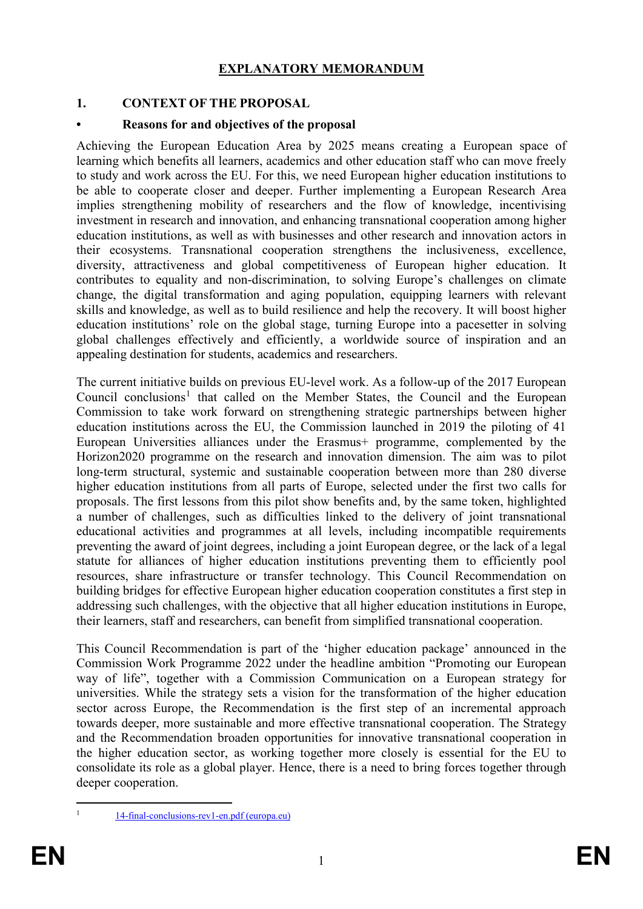### **EXPLANATORY MEMORANDUM**

### **1. CONTEXT OF THE PROPOSAL**

### **• Reasons for and objectives of the proposal**

Achieving the European Education Area by 2025 means creating a European space of learning which benefits all learners, academics and other education staff who can move freely to study and work across the EU. For this, we need European higher education institutions to be able to cooperate closer and deeper. Further implementing a European Research Area implies strengthening mobility of researchers and the flow of knowledge, incentivising investment in research and innovation, and enhancing transnational cooperation among higher education institutions, as well as with businesses and other research and innovation actors in their ecosystems. Transnational cooperation strengthens the inclusiveness, excellence, diversity, attractiveness and global competitiveness of European higher education. It contributes to equality and non-discrimination, to solving Europe's challenges on climate change, the digital transformation and aging population, equipping learners with relevant skills and knowledge, as well as to build resilience and help the recovery. It will boost higher education institutions' role on the global stage, turning Europe into a pacesetter in solving global challenges effectively and efficiently, a worldwide source of inspiration and an appealing destination for students, academics and researchers.

The current initiative builds on previous EU-level work. As a follow-up of the 2017 European Council conclusions<sup>[1](#page-1-0)</sup> that called on the Member States, the Council and the European Commission to take work forward on strengthening strategic partnerships between higher education institutions across the EU, the Commission launched in 2019 the piloting of 41 European Universities alliances under the Erasmus+ programme, complemented by the Horizon2020 programme on the research and innovation dimension. The aim was to pilot long-term structural, systemic and sustainable cooperation between more than 280 diverse higher education institutions from all parts of Europe, selected under the first two calls for proposals. The first lessons from this pilot show benefits and, by the same token, highlighted a number of challenges, such as difficulties linked to the delivery of joint transnational educational activities and programmes at all levels, including incompatible requirements preventing the award of joint degrees, including a joint European degree, or the lack of a legal statute for alliances of higher education institutions preventing them to efficiently pool resources, share infrastructure or transfer technology. This Council Recommendation on building bridges for effective European higher education cooperation constitutes a first step in addressing such challenges, with the objective that all higher education institutions in Europe, their learners, staff and researchers, can benefit from simplified transnational cooperation.

This Council Recommendation is part of the 'higher education package' announced in the Commission Work Programme 2022 under the headline ambition "Promoting our European way of life", together with a Commission Communication on a European strategy for universities. While the strategy sets a vision for the transformation of the higher education sector across Europe, the Recommendation is the first step of an incremental approach towards deeper, more sustainable and more effective transnational cooperation. The Strategy and the Recommendation broaden opportunities for innovative transnational cooperation in the higher education sector, as working together more closely is essential for the EU to consolidate its role as a global player. Hence, there is a need to bring forces together through deeper cooperation.

<span id="page-1-0"></span>

 <sup>1</sup> [14-final-conclusions-rev1-en.pdf \(europa.eu\)](https://www.consilium.europa.eu/media/32204/14-final-conclusions-rev1-en.pdf)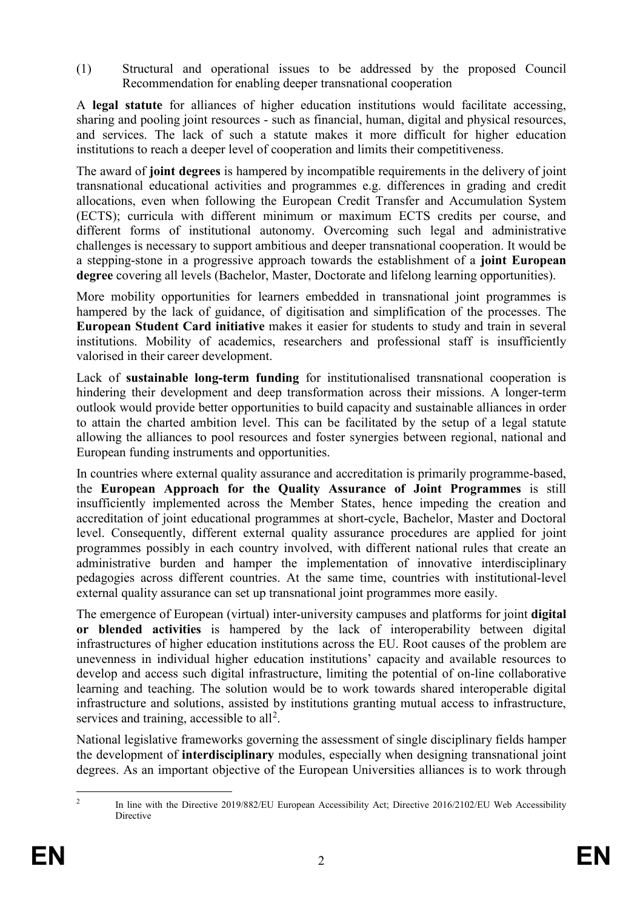(1) Structural and operational issues to be addressed by the proposed Council Recommendation for enabling deeper transnational cooperation

A **legal statute** for alliances of higher education institutions would facilitate accessing, sharing and pooling joint resources - such as financial, human, digital and physical resources, and services. The lack of such a statute makes it more difficult for higher education institutions to reach a deeper level of cooperation and limits their competitiveness.

The award of **joint degrees** is hampered by incompatible requirements in the delivery of joint transnational educational activities and programmes e.g. differences in grading and credit allocations, even when following the European Credit Transfer and Accumulation System (ECTS); curricula with different minimum or maximum ECTS credits per course, and different forms of institutional autonomy. Overcoming such legal and administrative challenges is necessary to support ambitious and deeper transnational cooperation. It would be a stepping-stone in a progressive approach towards the establishment of a **joint European degree** covering all levels (Bachelor, Master, Doctorate and lifelong learning opportunities).

More mobility opportunities for learners embedded in transnational joint programmes is hampered by the lack of guidance, of digitisation and simplification of the processes. The **European Student Card initiative** makes it easier for students to study and train in several institutions. Mobility of academics, researchers and professional staff is insufficiently valorised in their career development.

Lack of **sustainable long-term funding** for institutionalised transnational cooperation is hindering their development and deep transformation across their missions. A longer-term outlook would provide better opportunities to build capacity and sustainable alliances in order to attain the charted ambition level. This can be facilitated by the setup of a legal statute allowing the alliances to pool resources and foster synergies between regional, national and European funding instruments and opportunities.

In countries where external quality assurance and accreditation is primarily programme-based, the **European Approach for the Quality Assurance of Joint Programmes** is still insufficiently implemented across the Member States, hence impeding the creation and accreditation of joint educational programmes at short-cycle, Bachelor, Master and Doctoral level. Consequently, different external quality assurance procedures are applied for joint programmes possibly in each country involved, with different national rules that create an administrative burden and hamper the implementation of innovative interdisciplinary pedagogies across different countries. At the same time, countries with institutional-level external quality assurance can set up transnational joint programmes more easily.

The emergence of European (virtual) inter-university campuses and platforms for joint **digital or blended activities** is hampered by the lack of interoperability between digital infrastructures of higher education institutions across the EU. Root causes of the problem are unevenness in individual higher education institutions' capacity and available resources to develop and access such digital infrastructure, limiting the potential of on-line collaborative learning and teaching. The solution would be to work towards shared interoperable digital infrastructure and solutions, assisted by institutions granting mutual access to infrastructure, services and training, accessible to all<sup>[2](#page-2-0)</sup>.

National legislative frameworks governing the assessment of single disciplinary fields hamper the development of **interdisciplinary** modules, especially when designing transnational joint degrees. As an important objective of the European Universities alliances is to work through

<span id="page-2-0"></span>

<sup>&</sup>lt;sup>2</sup> In line with the Directive 2019/882/EU European Accessibility Act; Directive 2016/2102/EU Web Accessibility Directive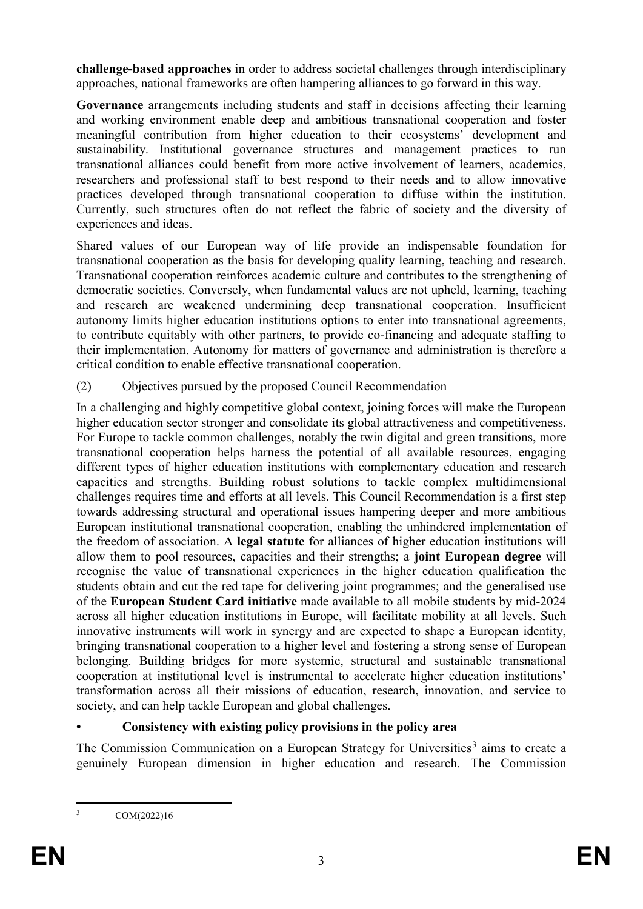**challenge-based approaches** in order to address societal challenges through interdisciplinary approaches, national frameworks are often hampering alliances to go forward in this way.

**Governance** arrangements including students and staff in decisions affecting their learning and working environment enable deep and ambitious transnational cooperation and foster meaningful contribution from higher education to their ecosystems' development and sustainability. Institutional governance structures and management practices to run transnational alliances could benefit from more active involvement of learners, academics, researchers and professional staff to best respond to their needs and to allow innovative practices developed through transnational cooperation to diffuse within the institution. Currently, such structures often do not reflect the fabric of society and the diversity of experiences and ideas.

Shared values of our European way of life provide an indispensable foundation for transnational cooperation as the basis for developing quality learning, teaching and research. Transnational cooperation reinforces academic culture and contributes to the strengthening of democratic societies. Conversely, when fundamental values are not upheld, learning, teaching and research are weakened undermining deep transnational cooperation. Insufficient autonomy limits higher education institutions options to enter into transnational agreements, to contribute equitably with other partners, to provide co-financing and adequate staffing to their implementation. Autonomy for matters of governance and administration is therefore a critical condition to enable effective transnational cooperation.

(2) Objectives pursued by the proposed Council Recommendation

In a challenging and highly competitive global context, joining forces will make the European higher education sector stronger and consolidate its global attractiveness and competitiveness. For Europe to tackle common challenges, notably the twin digital and green transitions, more transnational cooperation helps harness the potential of all available resources, engaging different types of higher education institutions with complementary education and research capacities and strengths. Building robust solutions to tackle complex multidimensional challenges requires time and efforts at all levels. This Council Recommendation is a first step towards addressing structural and operational issues hampering deeper and more ambitious European institutional transnational cooperation, enabling the unhindered implementation of the freedom of association. A **legal statute** for alliances of higher education institutions will allow them to pool resources, capacities and their strengths; a **joint European degree** will recognise the value of transnational experiences in the higher education qualification the students obtain and cut the red tape for delivering joint programmes; and the generalised use of the **European Student Card initiative** made available to all mobile students by mid-2024 across all higher education institutions in Europe, will facilitate mobility at all levels. Such innovative instruments will work in synergy and are expected to shape a European identity, bringing transnational cooperation to a higher level and fostering a strong sense of European belonging. Building bridges for more systemic, structural and sustainable transnational cooperation at institutional level is instrumental to accelerate higher education institutions' transformation across all their missions of education, research, innovation, and service to society, and can help tackle European and global challenges.

## **• Consistency with existing policy provisions in the policy area**

The Commission Communication on a European Strategy for Universities<sup>[3](#page-3-0)</sup> aims to create a genuinely European dimension in higher education and research. The Commission

<span id="page-3-0"></span> <sup>3</sup> COM(2022)16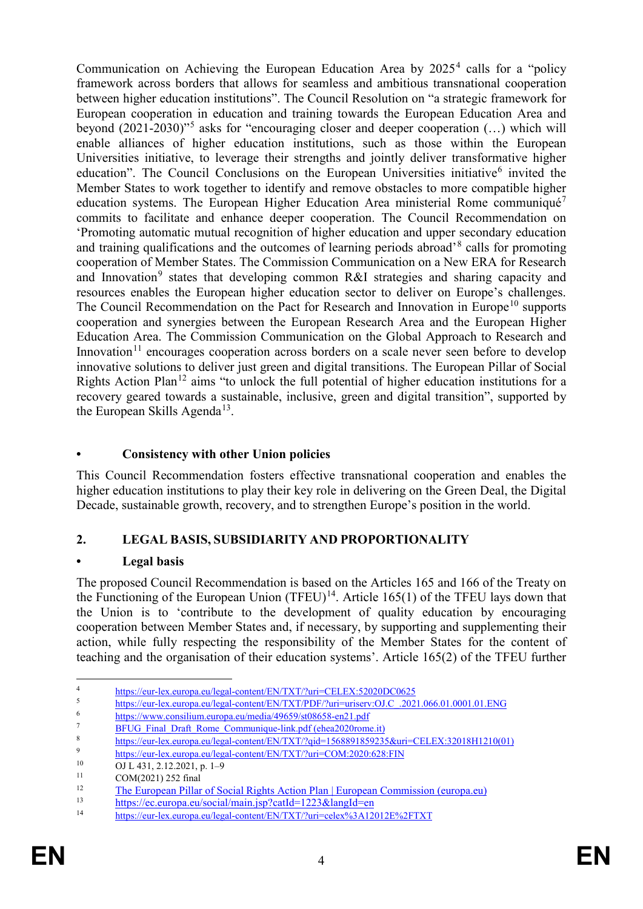Communication on Achieving the European Education Area by  $2025<sup>4</sup>$  $2025<sup>4</sup>$  $2025<sup>4</sup>$  calls for a "policy framework across borders that allows for seamless and ambitious transnational cooperation between higher education institutions". The Council Resolution on "a strategic framework for European cooperation in education and training towards the European Education Area and beyond (2021-2030)"[5](#page-4-1) asks for "encouraging closer and deeper cooperation (…) which will enable alliances of higher education institutions, such as those within the European Universities initiative, to leverage their strengths and jointly deliver transformative higher education". The Council Conclusions on the European Universities initiative<sup>[6](#page-4-2)</sup> invited the Member States to work together to identify and remove obstacles to more compatible higher education systems. The European Higher Education Area ministerial Rome communiqué<sup>[7](#page-4-3)</sup> commits to facilitate and enhance deeper cooperation. The Council Recommendation on 'Promoting automatic mutual recognition of higher education and upper secondary education and training qualifications and the outcomes of learning periods abroad'<sup>[8](#page-4-4)</sup> calls for promoting cooperation of Member States. The Commission Communication on a New ERA for Research and Innovation<sup>[9](#page-4-5)</sup> states that developing common R&I strategies and sharing capacity and resources enables the European higher education sector to deliver on Europe's challenges. The Council Recommendation on the Pact for Research and Innovation in Europe<sup>[10](#page-4-6)</sup> supports cooperation and synergies between the European Research Area and the European Higher Education Area. The Commission Communication on the Global Approach to Research and Innovation<sup>[11](#page-4-7)</sup> encourages cooperation across borders on a scale never seen before to develop innovative solutions to deliver just green and digital transitions. The European Pillar of Social Rights Action Plan<sup>[12](#page-4-8)</sup> aims "to unlock the full potential of higher education institutions for a recovery geared towards a sustainable, inclusive, green and digital transition", supported by the European Skills Agenda<sup>13</sup>.

# **• Consistency with other Union policies**

This Council Recommendation fosters effective transnational cooperation and enables the higher education institutions to play their key role in delivering on the Green Deal, the Digital Decade, sustainable growth, recovery, and to strengthen Europe's position in the world.

# **2. LEGAL BASIS, SUBSIDIARITY AND PROPORTIONALITY**

## **• Legal basis**

The proposed Council Recommendation is based on the Articles 165 and 166 of the Treaty on the Functioning of the European Union (TFEU)<sup>14</sup>. Article 165(1) of the TFEU lays down that the Union is to 'contribute to the development of quality education by encouraging cooperation between Member States and, if necessary, by supporting and supplementing their action, while fully respecting the responsibility of the Member States for the content of teaching and the organisation of their education systems'. Article 165(2) of the TFEU further

<span id="page-4-0"></span><sup>4&</sup>lt;br><https://eur-lex.europa.eu/legal-content/EN/TXT/?uri=CELEX:52020DC0625><br>5

<span id="page-4-1"></span> $\frac{\text{https://eur-lex.curopa.eu/legal-content/EN/TXT/PDF/2uri=uriserv:OJ.C.2021.066.01.0001.01.ENG}}{\text{https://www.consilium avirona.eu/neglic/40650/ct08658 ap21.pdf}}$ 

<sup>&</sup>lt;sup>6</sup> <https://www.consilium.europa.eu/media/49659/st08658-en21.pdf><br>7

<span id="page-4-3"></span><span id="page-4-2"></span><sup>&</sup>lt;sup>7</sup><br>BFUG\_Final\_Draft\_Rome\_Communique-link.pdf (chea2020rome.it)

<span id="page-4-4"></span><sup>8</sup> [https://eur-lex.europa.eu/legal-content/EN/TXT/?qid=1568891859235&uri=CELEX:32018H1210\(01\)](https://eur-lex.europa.eu/legal-content/EN/TXT/?qid=1568891859235&uri=CELEX:32018H1210(01))

<span id="page-4-5"></span><sup>&</sup>lt;sup>9</sup> <https://eur-lex.europa.eu/legal-content/EN/TXT/?uri=COM:2020:628:FIN><br><sup>10</sup> OU 431 2 12 2021 **p** 1 **0** 

<span id="page-4-6"></span><sup>&</sup>lt;sup>10</sup> OJ L 431, 2.12.2021, p. 1–9<br><sup>11</sup> COM(2021) 252 final

<span id="page-4-7"></span> $11$  COM(2021) 252 final<br> $12$  The European Biller

<span id="page-4-8"></span><sup>&</sup>lt;sup>12</sup> [The European Pillar of Social Rights Action Plan | European Commission \(europa.eu\)](https://ec.europa.eu/info/strategy/priorities-2019-2024/economy-works-people/jobs-growth-and-investment/european-pillar-social-rights/european-pillar-social-rights-action-plan_en)

<span id="page-4-9"></span> $\frac{13}{14}$  <https://ec.europa.eu/social/main.jsp?catId=1223&langId=en>

<span id="page-4-10"></span><sup>14</sup> <https://eur-lex.europa.eu/legal-content/EN/TXT/?uri=celex%3A12012E%2FTXT>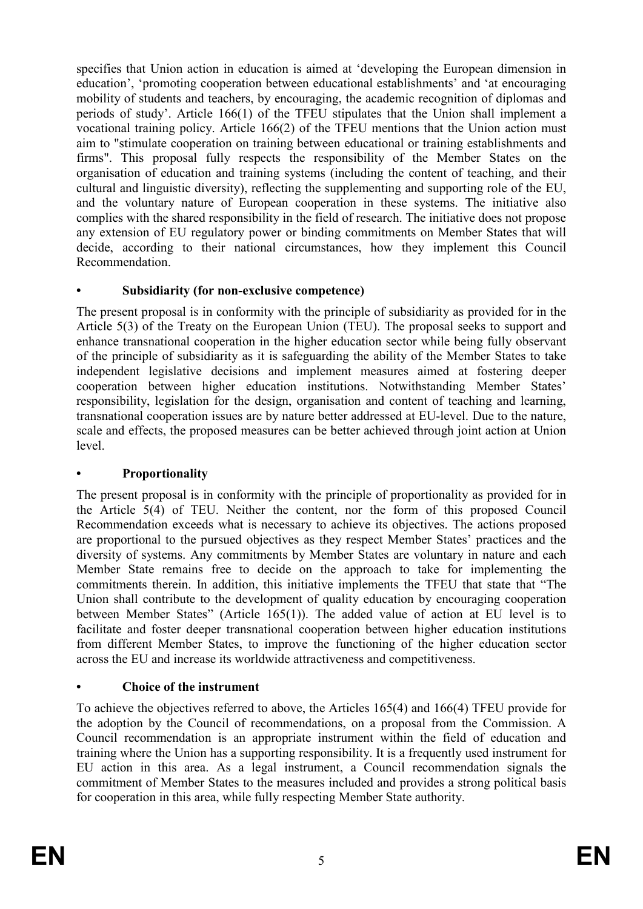specifies that Union action in education is aimed at 'developing the European dimension in education', 'promoting cooperation between educational establishments' and 'at encouraging mobility of students and teachers, by encouraging, the academic recognition of diplomas and periods of study'. Article 166(1) of the TFEU stipulates that the Union shall implement a vocational training policy. Article 166(2) of the TFEU mentions that the Union action must aim to "stimulate cooperation on training between educational or training establishments and firms". This proposal fully respects the responsibility of the Member States on the organisation of education and training systems (including the content of teaching, and their cultural and linguistic diversity), reflecting the supplementing and supporting role of the EU, and the voluntary nature of European cooperation in these systems. The initiative also complies with the shared responsibility in the field of research. The initiative does not propose any extension of EU regulatory power or binding commitments on Member States that will decide, according to their national circumstances, how they implement this Council Recommendation.

## **• Subsidiarity (for non-exclusive competence)**

The present proposal is in conformity with the principle of subsidiarity as provided for in the Article 5(3) of the Treaty on the European Union (TEU). The proposal seeks to support and enhance transnational cooperation in the higher education sector while being fully observant of the principle of subsidiarity as it is safeguarding the ability of the Member States to take independent legislative decisions and implement measures aimed at fostering deeper cooperation between higher education institutions. Notwithstanding Member States' responsibility, legislation for the design, organisation and content of teaching and learning, transnational cooperation issues are by nature better addressed at EU-level. Due to the nature, scale and effects, the proposed measures can be better achieved through joint action at Union level.

## **• Proportionality**

The present proposal is in conformity with the principle of proportionality as provided for in the Article 5(4) of TEU. Neither the content, nor the form of this proposed Council Recommendation exceeds what is necessary to achieve its objectives. The actions proposed are proportional to the pursued objectives as they respect Member States' practices and the diversity of systems. Any commitments by Member States are voluntary in nature and each Member State remains free to decide on the approach to take for implementing the commitments therein. In addition, this initiative implements the TFEU that state that "The Union shall contribute to the development of quality education by encouraging cooperation between Member States" (Article 165(1)). The added value of action at EU level is to facilitate and foster deeper transnational cooperation between higher education institutions from different Member States, to improve the functioning of the higher education sector across the EU and increase its worldwide attractiveness and competitiveness.

# **• Choice of the instrument**

To achieve the objectives referred to above, the Articles 165(4) and 166(4) TFEU provide for the adoption by the Council of recommendations, on a proposal from the Commission. A Council recommendation is an appropriate instrument within the field of education and training where the Union has a supporting responsibility. It is a frequently used instrument for EU action in this area. As a legal instrument, a Council recommendation signals the commitment of Member States to the measures included and provides a strong political basis for cooperation in this area, while fully respecting Member State authority.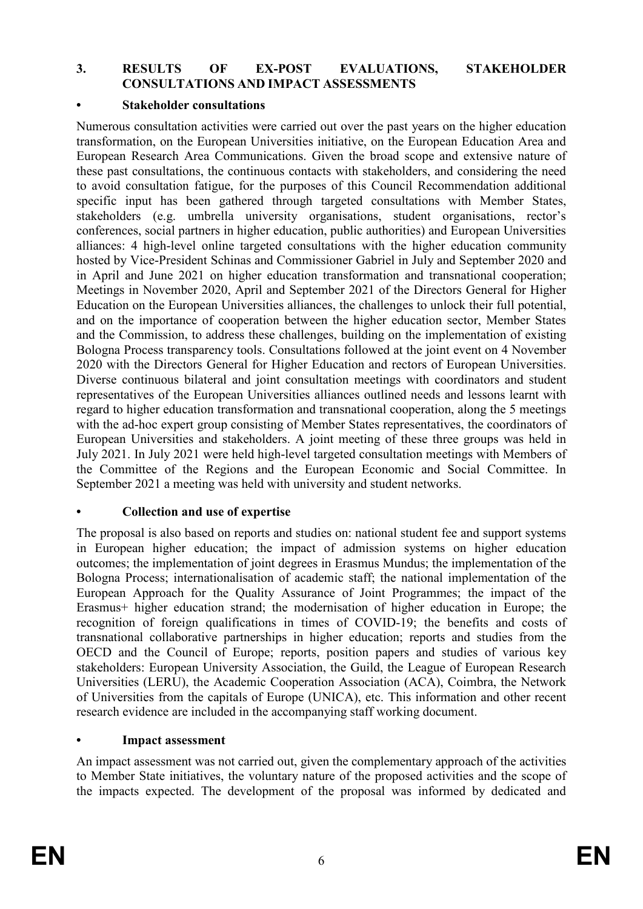#### **3. RESULTS OF EX-POST EVALUATIONS, STAKEHOLDER CONSULTATIONS AND IMPACT ASSESSMENTS**

#### **• Stakeholder consultations**

Numerous consultation activities were carried out over the past years on the higher education transformation, on the European Universities initiative, on the European Education Area and European Research Area Communications. Given the broad scope and extensive nature of these past consultations, the continuous contacts with stakeholders, and considering the need to avoid consultation fatigue, for the purposes of this Council Recommendation additional specific input has been gathered through targeted consultations with Member States, stakeholders (e.g. umbrella university organisations, student organisations, rector's conferences, social partners in higher education, public authorities) and European Universities alliances: 4 high-level online targeted consultations with the higher education community hosted by Vice-President Schinas and Commissioner Gabriel in July and September 2020 and in April and June 2021 on higher education transformation and transnational cooperation; Meetings in November 2020, April and September 2021 of the Directors General for Higher Education on the European Universities alliances, the challenges to unlock their full potential, and on the importance of cooperation between the higher education sector, Member States and the Commission, to address these challenges, building on the implementation of existing Bologna Process transparency tools. Consultations followed at the joint event on 4 November 2020 with the Directors General for Higher Education and rectors of European Universities. Diverse continuous bilateral and joint consultation meetings with coordinators and student representatives of the European Universities alliances outlined needs and lessons learnt with regard to higher education transformation and transnational cooperation, along the 5 meetings with the ad-hoc expert group consisting of Member States representatives, the coordinators of European Universities and stakeholders. A joint meeting of these three groups was held in July 2021. In July 2021 were held high-level targeted consultation meetings with Members of the Committee of the Regions and the European Economic and Social Committee. In September 2021 a meeting was held with university and student networks.

### **• Collection and use of expertise**

The proposal is also based on reports and studies on: national student fee and support systems in European higher education; the impact of admission systems on higher education outcomes; the implementation of joint degrees in Erasmus Mundus; the implementation of the Bologna Process; internationalisation of academic staff; the national implementation of the European Approach for the Quality Assurance of Joint Programmes; the impact of the Erasmus+ higher education strand; the modernisation of higher education in Europe; the recognition of foreign qualifications in times of COVID-19; the benefits and costs of transnational collaborative partnerships in higher education; reports and studies from the OECD and the Council of Europe; reports, position papers and studies of various key stakeholders: European University Association, the Guild, the League of European Research Universities (LERU), the Academic Cooperation Association (ACA), Coimbra, the Network of Universities from the capitals of Europe (UNICA), etc. This information and other recent research evidence are included in the accompanying staff working document.

#### **• Impact assessment**

An impact assessment was not carried out, given the complementary approach of the activities to Member State initiatives, the voluntary nature of the proposed activities and the scope of the impacts expected. The development of the proposal was informed by dedicated and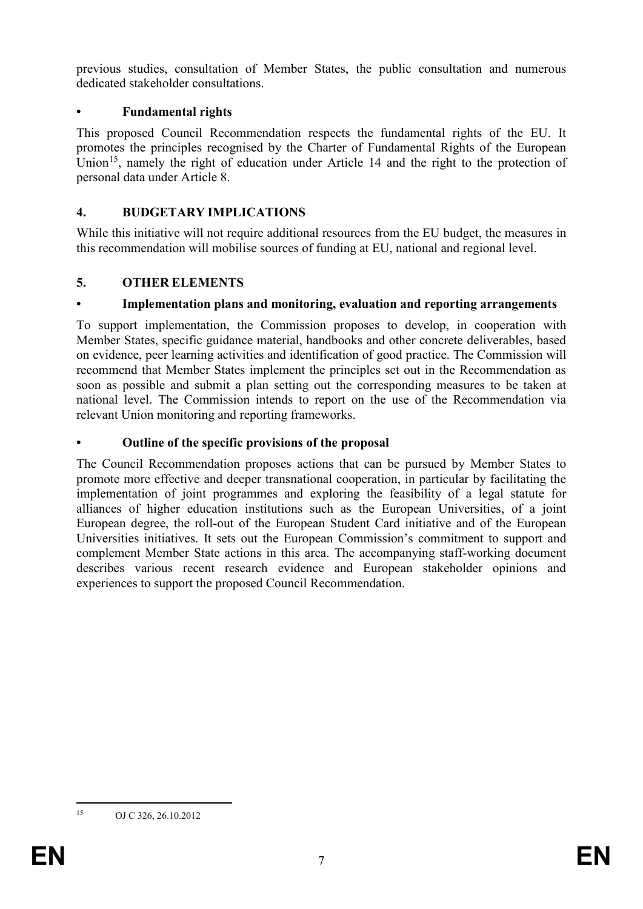previous studies, consultation of Member States, the public consultation and numerous dedicated stakeholder consultations.

### **• Fundamental rights**

This proposed Council Recommendation respects the fundamental rights of the EU. It promotes the principles recognised by the Charter of Fundamental Rights of the European Union<sup>[15](#page-7-0)</sup>, namely the right of education under Article 14 and the right to the protection of personal data under Article 8.

### **4. BUDGETARY IMPLICATIONS**

While this initiative will not require additional resources from the EU budget, the measures in this recommendation will mobilise sources of funding at EU, national and regional level.

## **5. OTHER ELEMENTS**

## **• Implementation plans and monitoring, evaluation and reporting arrangements**

To support implementation, the Commission proposes to develop, in cooperation with Member States, specific guidance material, handbooks and other concrete deliverables, based on evidence, peer learning activities and identification of good practice. The Commission will recommend that Member States implement the principles set out in the Recommendation as soon as possible and submit a plan setting out the corresponding measures to be taken at national level. The Commission intends to report on the use of the Recommendation via relevant Union monitoring and reporting frameworks.

## **• Outline of the specific provisions of the proposal**

The Council Recommendation proposes actions that can be pursued by Member States to promote more effective and deeper transnational cooperation, in particular by facilitating the implementation of joint programmes and exploring the feasibility of a legal statute for alliances of higher education institutions such as the European Universities, of a joint European degree, the roll-out of the European Student Card initiative and of the European Universities initiatives. It sets out the European Commission's commitment to support and complement Member State actions in this area. The accompanying staff-working document describes various recent research evidence and European stakeholder opinions and experiences to support the proposed Council Recommendation.

<span id="page-7-0"></span> <sup>15</sup> OJ C 326, 26.10.2012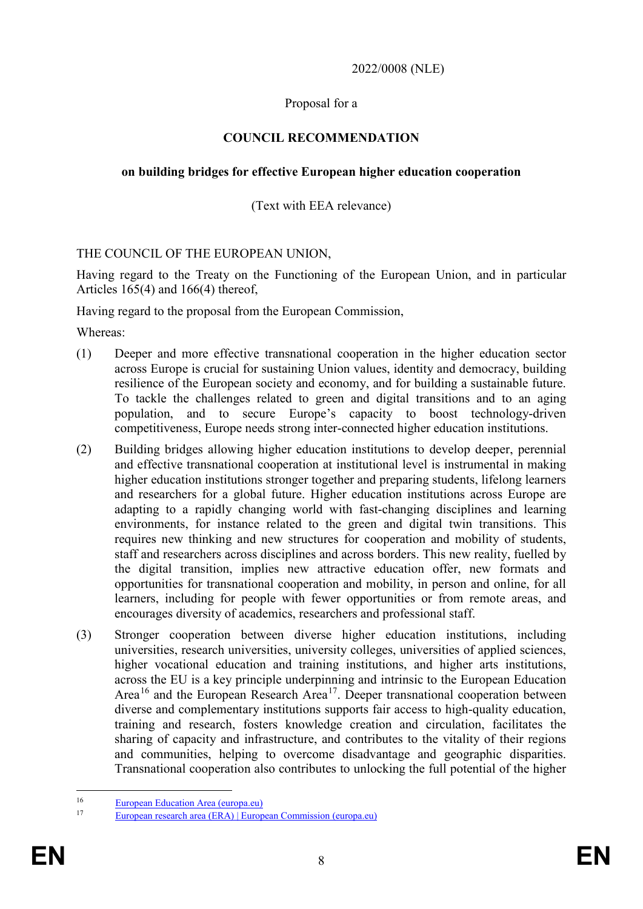2022/0008 (NLE)

### Proposal for a

### **COUNCIL RECOMMENDATION**

### **on building bridges for effective European higher education cooperation**

### (Text with EEA relevance)

#### THE COUNCIL OF THE EUROPEAN UNION,

Having regard to the Treaty on the Functioning of the European Union, and in particular Articles 165(4) and 166(4) thereof,

Having regard to the proposal from the European Commission,

Whereas:

- (1) Deeper and more effective transnational cooperation in the higher education sector across Europe is crucial for sustaining Union values, identity and democracy, building resilience of the European society and economy, and for building a sustainable future. To tackle the challenges related to green and digital transitions and to an aging population, and to secure Europe's capacity to boost technology-driven competitiveness, Europe needs strong inter-connected higher education institutions.
- (2) Building bridges allowing higher education institutions to develop deeper, perennial and effective transnational cooperation at institutional level is instrumental in making higher education institutions stronger together and preparing students, lifelong learners and researchers for a global future. Higher education institutions across Europe are adapting to a rapidly changing world with fast-changing disciplines and learning environments, for instance related to the green and digital twin transitions. This requires new thinking and new structures for cooperation and mobility of students, staff and researchers across disciplines and across borders. This new reality, fuelled by the digital transition, implies new attractive education offer, new formats and opportunities for transnational cooperation and mobility, in person and online, for all learners, including for people with fewer opportunities or from remote areas, and encourages diversity of academics, researchers and professional staff.
- (3) Stronger cooperation between diverse higher education institutions, including universities, research universities, university colleges, universities of applied sciences, higher vocational education and training institutions, and higher arts institutions, across the EU is a key principle underpinning and intrinsic to the European Education Area<sup>[16](#page-8-0)</sup> and the European Research Area<sup>[17](#page-8-1)</sup>. Deeper transnational cooperation between diverse and complementary institutions supports fair access to high-quality education, training and research, fosters knowledge creation and circulation, facilitates the sharing of capacity and infrastructure, and contributes to the vitality of their regions and communities, helping to overcome disadvantage and geographic disparities. Transnational cooperation also contributes to unlocking the full potential of the higher

<span id="page-8-0"></span><sup>&</sup>lt;sup>16</sup> [European Education Area \(europa.eu\)](https://ec.europa.eu/education/education-in-the-eu/european-education-area_en)

<span id="page-8-1"></span><sup>17</sup> [European research area \(ERA\) | European Commission \(europa.eu\)](https://ec.europa.eu/info/research-and-innovation/strategy/strategy-2020-2024/our-digital-future/era_en#documents)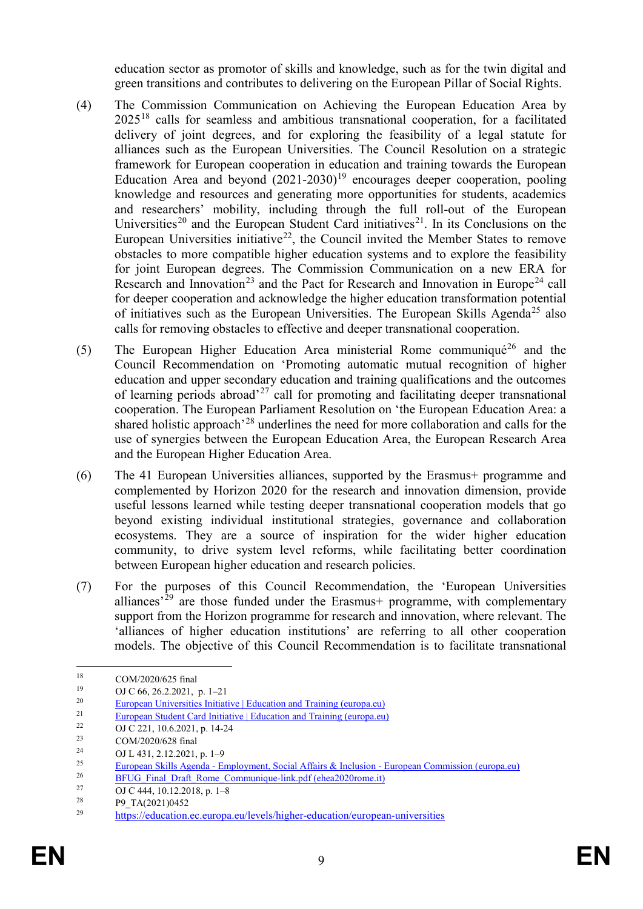education sector as promotor of skills and knowledge, such as for the twin digital and green transitions and contributes to delivering on the European Pillar of Social Rights.

- (4) The Commission Communication on Achieving the European Education Area by 2025[18](#page-9-0) calls for seamless and ambitious transnational cooperation, for a facilitated delivery of joint degrees, and for exploring the feasibility of a legal statute for alliances such as the European Universities. The Council Resolution on a strategic framework for European cooperation in education and training towards the European Education Area and beyond  $(2021-2030)^{19}$  $(2021-2030)^{19}$  $(2021-2030)^{19}$  encourages deeper cooperation, pooling knowledge and resources and generating more opportunities for students, academics and researchers' mobility, including through the full roll-out of the European Universities<sup>[20](#page-9-2)</sup> and the European Student Card initiatives<sup>21</sup>. In its Conclusions on the European Universities initiative<sup>[22](#page-9-4)</sup>, the Council invited the Member States to remove obstacles to more compatible higher education systems and to explore the feasibility for joint European degrees. The Commission Communication on a new ERA for Research and Innovation<sup>[23](#page-9-5)</sup> and the Pact for Research and Innovation in Europe<sup>[24](#page-9-6)</sup> call for deeper cooperation and acknowledge the higher education transformation potential of initiatives such as the European Universities. The European Skills Agenda<sup>[25](#page-9-7)</sup> also calls for removing obstacles to effective and deeper transnational cooperation.
- (5) The European Higher Education Area ministerial Rome communiqué<sup>[26](#page-9-8)</sup> and the Council Recommendation on 'Promoting automatic mutual recognition of higher education and upper secondary education and training qualifications and the outcomes of learning periods abroad<sup> $27$ </sup> call for promoting and facilitating deeper transnational cooperation. The European Parliament Resolution on 'the European Education Area: a shared holistic approach'[28](#page-9-10) underlines the need for more collaboration and calls for the use of synergies between the European Education Area, the European Research Area and the European Higher Education Area.
- (6) The 41 European Universities alliances, supported by the Erasmus+ programme and complemented by Horizon 2020 for the research and innovation dimension, provide useful lessons learned while testing deeper transnational cooperation models that go beyond existing individual institutional strategies, governance and collaboration ecosystems. They are a source of inspiration for the wider higher education community, to drive system level reforms, while facilitating better coordination between European higher education and research policies.
- (7) For the purposes of this Council Recommendation, the 'European Universities alliances<sup>'[29](#page-9-11)</sup> are those funded under the Erasmus+ programme, with complementary support from the Horizon programme for research and innovation, where relevant. The 'alliances of higher education institutions' are referring to all other cooperation models. The objective of this Council Recommendation is to facilitate transnational

<span id="page-9-0"></span><sup>&</sup>lt;sup>18</sup> COM/2020/625 final<br><sup>19</sup> CLC 66, 26, 2021

<span id="page-9-1"></span><sup>&</sup>lt;sup>19</sup> OJ C 66, 26.2.2021, p. 1–21<br><sup>20</sup>

<span id="page-9-2"></span><sup>&</sup>lt;sup>20</sup> [European Universities Initiative | Education and Training \(europa.eu\)](https://ec.europa.eu/education/education-in-the-eu/european-education-area/european-universities-initiative_en)

<span id="page-9-3"></span><sup>&</sup>lt;sup>21</sup> [European Student Card Initiative | Education and Training \(europa.eu\)](https://ec.europa.eu/education/education-in-the-eu/european-student-card-initiative_en)

<span id="page-9-4"></span><sup>&</sup>lt;sup>22</sup> OJ C 221, 10.6.2021, p. 14-24<br><sup>23</sup> COM/2020/628 final

<span id="page-9-5"></span><sup>&</sup>lt;sup>23</sup> COM/2020/628 final<br><sup>24</sup> CLI 421 2.12.2021

<span id="page-9-6"></span><sup>&</sup>lt;sup>24</sup> OJ L 431, 2.12.2021, p. 1–9<br><sup>25</sup> European Skills Agenda. E

<span id="page-9-7"></span><sup>&</sup>lt;sup>25</sup><br>European Skills Agenda - [Employment, Social Affairs & Inclusion -](https://ec.europa.eu/social/main.jsp?catId=1223&langId=en#:%7E:text=%20The%20European%20Skills%20Agenda%20is%20a%20five-year,Pillar%20of%20Social%20Rights%3A%20access%20to...%20More%20) European Commission (europa.eu)<br>PELIC Final Draft Bama Communique link ndf (aboa2020roma.it)

<span id="page-9-8"></span><sup>&</sup>lt;sup>26</sup> BFUG Final Draft Rome Communique-link.pdf (ehea2020rome.it)<br> $^{27}$  OLC 444-10.12.2018 = 1.8

<span id="page-9-9"></span><sup>&</sup>lt;sup>27</sup> OJ C 444, 10.12.2018, p. 1–8<sup>28</sup> po TA(2021)0452

<span id="page-9-11"></span><span id="page-9-10"></span> $^{28}$  P9\_TA(2021)0452

<sup>29</sup> <https://education.ec.europa.eu/levels/higher-education/european-universities>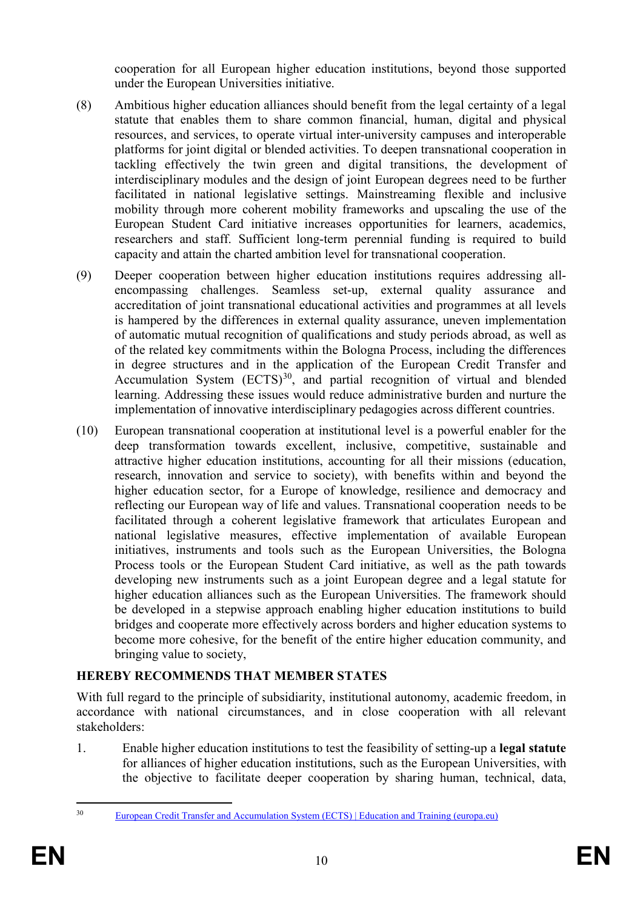cooperation for all European higher education institutions, beyond those supported under the European Universities initiative.

- (8) Ambitious higher education alliances should benefit from the legal certainty of a legal statute that enables them to share common financial, human, digital and physical resources, and services, to operate virtual inter-university campuses and interoperable platforms for joint digital or blended activities. To deepen transnational cooperation in tackling effectively the twin green and digital transitions, the development of interdisciplinary modules and the design of joint European degrees need to be further facilitated in national legislative settings. Mainstreaming flexible and inclusive mobility through more coherent mobility frameworks and upscaling the use of the European Student Card initiative increases opportunities for learners, academics, researchers and staff. Sufficient long-term perennial funding is required to build capacity and attain the charted ambition level for transnational cooperation.
- (9) Deeper cooperation between higher education institutions requires addressing allencompassing challenges. Seamless set-up, external quality assurance and accreditation of joint transnational educational activities and programmes at all levels is hampered by the differences in external quality assurance, uneven implementation of automatic mutual recognition of qualifications and study periods abroad, as well as of the related key commitments within the Bologna Process, including the differences in degree structures and in the application of the European Credit Transfer and Accumulation System  $(ECTS)^{30}$  $(ECTS)^{30}$  $(ECTS)^{30}$ , and partial recognition of virtual and blended learning. Addressing these issues would reduce administrative burden and nurture the implementation of innovative interdisciplinary pedagogies across different countries.
- (10) European transnational cooperation at institutional level is a powerful enabler for the deep transformation towards excellent, inclusive, competitive, sustainable and attractive higher education institutions, accounting for all their missions (education, research, innovation and service to society), with benefits within and beyond the higher education sector, for a Europe of knowledge, resilience and democracy and reflecting our European way of life and values. Transnational cooperation needs to be facilitated through a coherent legislative framework that articulates European and national legislative measures, effective implementation of available European initiatives, instruments and tools such as the European Universities, the Bologna Process tools or the European Student Card initiative, as well as the path towards developing new instruments such as a joint European degree and a legal statute for higher education alliances such as the European Universities. The framework should be developed in a stepwise approach enabling higher education institutions to build bridges and cooperate more effectively across borders and higher education systems to become more cohesive, for the benefit of the entire higher education community, and bringing value to society,

## **HEREBY RECOMMENDS THAT MEMBER STATES**

With full regard to the principle of subsidiarity, institutional autonomy, academic freedom, in accordance with national circumstances, and in close cooperation with all relevant stakeholders:

1. Enable higher education institutions to test the feasibility of setting-up a **legal statute** for alliances of higher education institutions, such as the European Universities, with the objective to facilitate deeper cooperation by sharing human, technical, data,

<span id="page-10-0"></span> <sup>30</sup> [European Credit Transfer and Accumulation System \(ECTS\) | Education and Training \(europa.eu\)](https://ec.europa.eu/education/resources-and-tools/european-credit-transfer-and-accumulation-system-ects_en#:%7E:text=The%20European%20Credit%20Transfer%20and%20Accumulation%20System%20%28ECTS%29,their%20academic%20qualifications%20and%20study%20periods%20abroad%20recognised.)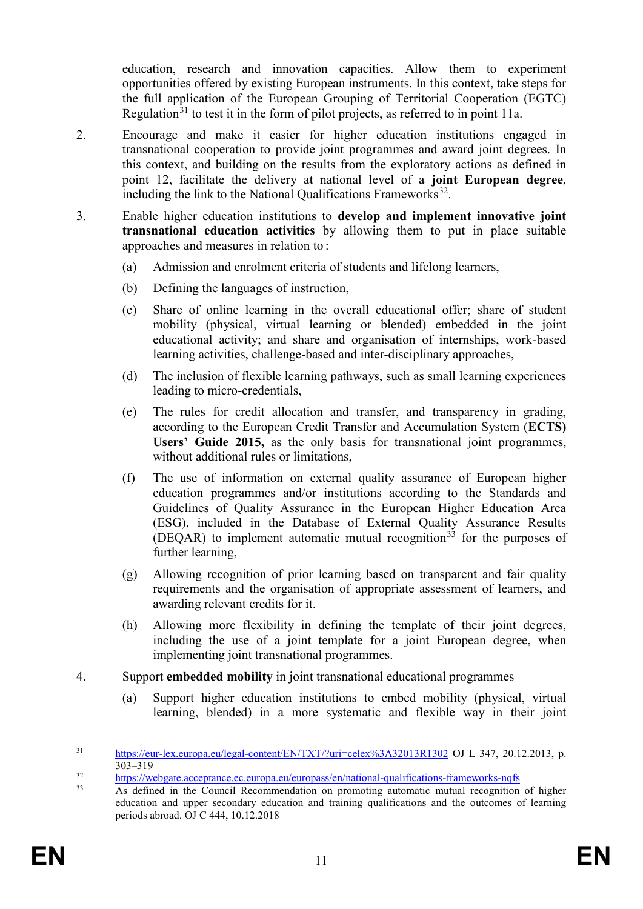education, research and innovation capacities. Allow them to experiment opportunities offered by existing European instruments. In this context, take steps for the full application of the European Grouping of Territorial Cooperation (EGTC) Regulation<sup>[31](#page-11-0)</sup> to test it in the form of pilot projects, as referred to in point 11a.

- 2. Encourage and make it easier for higher education institutions engaged in transnational cooperation to provide joint programmes and award joint degrees. In this context, and building on the results from the exploratory actions as defined in point 12, facilitate the delivery at national level of a **joint European degree**, including the link to the National Qualifications Frameworks<sup>32</sup>.
- 3. Enable higher education institutions to **develop and implement innovative joint transnational education activities** by allowing them to put in place suitable approaches and measures in relation to :
	- (a) Admission and enrolment criteria of students and lifelong learners,
	- (b) Defining the languages of instruction,
	- (c) Share of online learning in the overall educational offer; share of student mobility (physical, virtual learning or blended) embedded in the joint educational activity; and share and organisation of internships, work-based learning activities, challenge-based and inter-disciplinary approaches,
	- (d) The inclusion of flexible learning pathways, such as small learning experiences leading to micro-credentials,
	- (e) The rules for credit allocation and transfer, and transparency in grading, according to the European Credit Transfer and Accumulation System (**ECTS) Users' Guide 2015,** as the only basis for transnational joint programmes, without additional rules or limitations,
	- (f) The use of information on external quality assurance of European higher education programmes and/or institutions according to the Standards and Guidelines of Quality Assurance in the European Higher Education Area (ESG), included in the Database of External Quality Assurance Results (DEQAR) to implement automatic mutual recognition<sup>[33](#page-11-2)</sup> for the purposes of further learning,
	- (g) Allowing recognition of prior learning based on transparent and fair quality requirements and the organisation of appropriate assessment of learners, and awarding relevant credits for it.
	- (h) Allowing more flexibility in defining the template of their joint degrees, including the use of a joint template for a joint European degree, when implementing joint transnational programmes.
- 4. Support **embedded mobility** in joint transnational educational programmes
	- (a) Support higher education institutions to embed mobility (physical, virtual learning, blended) in a more systematic and flexible way in their joint

<span id="page-11-0"></span> <sup>31</sup> <https://eur-lex.europa.eu/legal-content/EN/TXT/?uri=celex%3A32013R1302> OJ L 347, 20.12.2013, p.  $303 - 319$ 

<span id="page-11-1"></span> $\frac{\text{https://webgate.acceptance.e.c.uropa.eu/europass/en/national-quality-fameworks-nqfs}}{\text{As defined in the Council Bogommanation or magnetic automatic mutation}}$ 

<span id="page-11-2"></span><sup>33</sup> As defined in the Council Recommendation on promoting automatic mutual recognition of higher education and upper secondary education and training qualifications and the outcomes of learning periods abroad. OJ C 444, 10.12.2018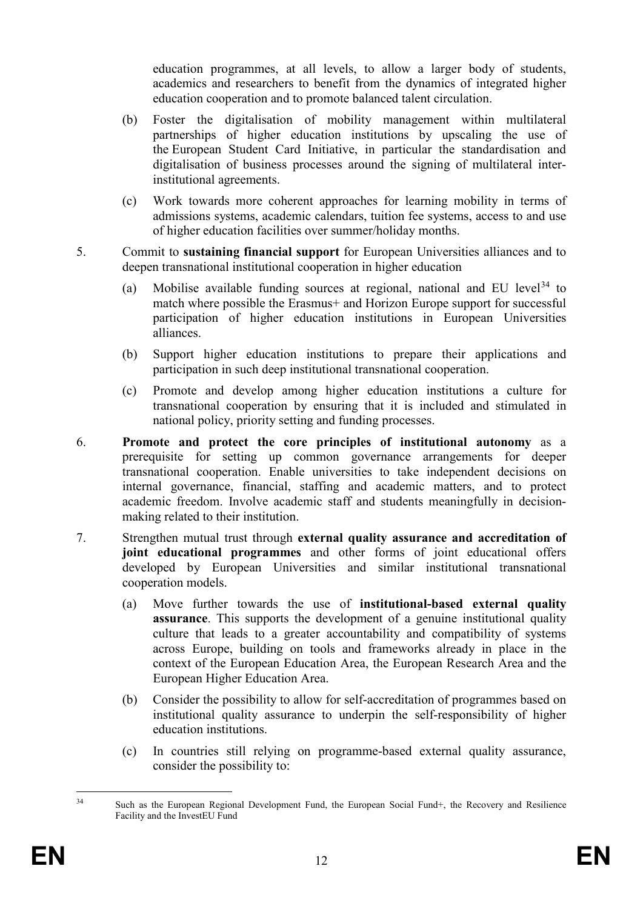education programmes, at all levels, to allow a larger body of students, academics and researchers to benefit from the dynamics of integrated higher education cooperation and to promote balanced talent circulation.

- (b) Foster the digitalisation of mobility management within multilateral partnerships of higher education institutions by upscaling the use of the European Student Card Initiative, in particular the standardisation and digitalisation of business processes around the signing of multilateral interinstitutional agreements.
- (c) Work towards more coherent approaches for learning mobility in terms of admissions systems, academic calendars, tuition fee systems, access to and use of higher education facilities over summer/holiday months.
- 5. Commit to **sustaining financial support** for European Universities alliances and to deepen transnational institutional cooperation in higher education
	- (a) Mobilise available funding sources at regional, national and EU level  $34$  to match where possible the Erasmus+ and Horizon Europe support for successful participation of higher education institutions in European Universities alliances.
	- (b) Support higher education institutions to prepare their applications and participation in such deep institutional transnational cooperation.
	- (c) Promote and develop among higher education institutions a culture for transnational cooperation by ensuring that it is included and stimulated in national policy, priority setting and funding processes.
- 6. **Promote and protect the core principles of institutional autonomy** as a prerequisite for setting up common governance arrangements for deeper transnational cooperation. Enable universities to take independent decisions on internal governance, financial, staffing and academic matters, and to protect academic freedom. Involve academic staff and students meaningfully in decisionmaking related to their institution.
- 7. Strengthen mutual trust through **external quality assurance and accreditation of joint educational programmes** and other forms of joint educational offers developed by European Universities and similar institutional transnational cooperation models.
	- (a) Move further towards the use of **institutional-based external quality assurance**. This supports the development of a genuine institutional quality culture that leads to a greater accountability and compatibility of systems across Europe, building on tools and frameworks already in place in the context of the European Education Area, the European Research Area and the European Higher Education Area.
	- (b) Consider the possibility to allow for self-accreditation of programmes based on institutional quality assurance to underpin the self-responsibility of higher education institutions.
	- (c) In countries still relying on programme-based external quality assurance, consider the possibility to:

<span id="page-12-0"></span> <sup>34</sup> Such as the European Regional Development Fund, the European Social Fund+, the Recovery and Resilience Facility and the InvestEU Fund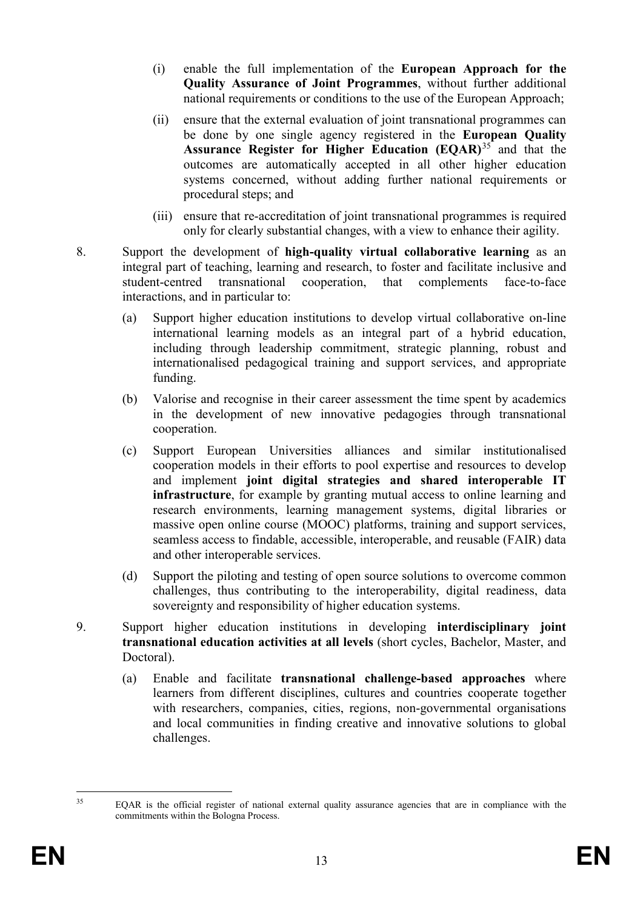- (i) enable the full implementation of the **European Approach for the Quality Assurance of Joint Programmes**, without further additional national requirements or conditions to the use of the European Approach;
- (ii) ensure that the external evaluation of joint transnational programmes can be done by one single agency registered in the **European Quality Assurance Register for Higher Education (EQAR)**[35](#page-13-0) and that the outcomes are automatically accepted in all other higher education systems concerned, without adding further national requirements or procedural steps; and
- (iii) ensure that re-accreditation of joint transnational programmes is required only for clearly substantial changes, with a view to enhance their agility.
- 8. Support the development of **high-quality virtual collaborative learning** as an integral part of teaching, learning and research, to foster and facilitate inclusive and student-centred transnational cooperation, that complements face-to-face interactions, and in particular to:
	- (a) Support higher education institutions to develop virtual collaborative on-line international learning models as an integral part of a hybrid education, including through leadership commitment, strategic planning, robust and internationalised pedagogical training and support services, and appropriate funding.
	- (b) Valorise and recognise in their career assessment the time spent by academics in the development of new innovative pedagogies through transnational cooperation.
	- (c) Support European Universities alliances and similar institutionalised cooperation models in their efforts to pool expertise and resources to develop and implement **joint digital strategies and shared interoperable IT infrastructure**, for example by granting mutual access to online learning and research environments, learning management systems, digital libraries or massive open online course (MOOC) platforms, training and support services, seamless access to findable, accessible, interoperable, and reusable (FAIR) data and other interoperable services.
	- (d) Support the piloting and testing of open source solutions to overcome common challenges, thus contributing to the interoperability, digital readiness, data sovereignty and responsibility of higher education systems.
- 9. Support higher education institutions in developing **interdisciplinary joint transnational education activities at all levels** (short cycles, Bachelor, Master, and Doctoral).
	- (a) Enable and facilitate **transnational challenge-based approaches** where learners from different disciplines, cultures and countries cooperate together with researchers, companies, cities, regions, non-governmental organisations and local communities in finding creative and innovative solutions to global challenges.

<span id="page-13-0"></span><sup>&</sup>lt;sup>35</sup> EQAR is the official register of national external quality assurance agencies that are in compliance with the commitments within the Bologna Process.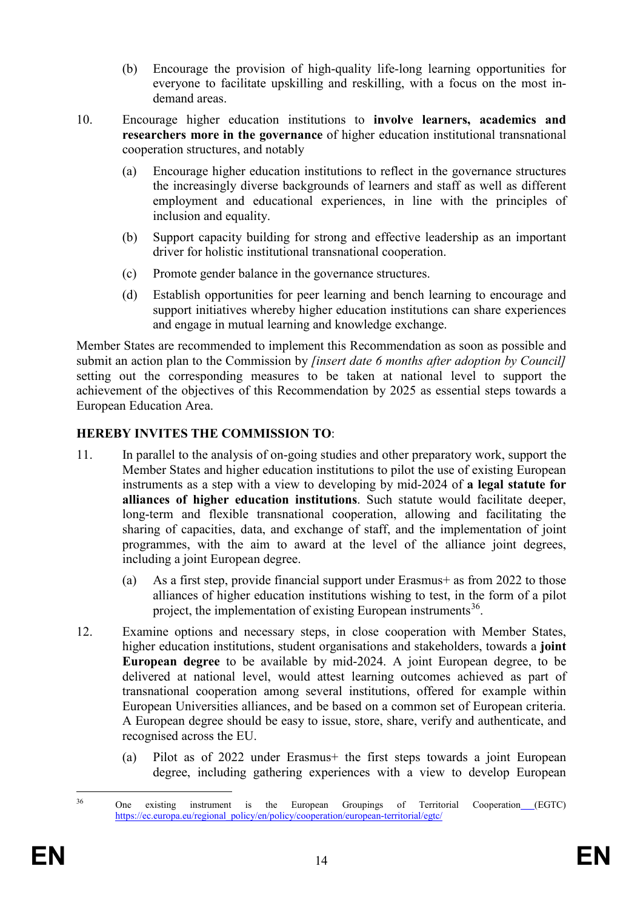- (b) Encourage the provision of high-quality life-long learning opportunities for everyone to facilitate upskilling and reskilling, with a focus on the most indemand areas.
- 10. Encourage higher education institutions to **involve learners, academics and researchers more in the governance** of higher education institutional transnational cooperation structures, and notably
	- (a) Encourage higher education institutions to reflect in the governance structures the increasingly diverse backgrounds of learners and staff as well as different employment and educational experiences, in line with the principles of inclusion and equality.
	- (b) Support capacity building for strong and effective leadership as an important driver for holistic institutional transnational cooperation.
	- (c) Promote gender balance in the governance structures.
	- (d) Establish opportunities for peer learning and bench learning to encourage and support initiatives whereby higher education institutions can share experiences and engage in mutual learning and knowledge exchange.

Member States are recommended to implement this Recommendation as soon as possible and submit an action plan to the Commission by *[insert date 6 months after adoption by Council]*  setting out the corresponding measures to be taken at national level to support the achievement of the objectives of this Recommendation by 2025 as essential steps towards a European Education Area.

# **HEREBY INVITES THE COMMISSION TO**:

- 11. In parallel to the analysis of on-going studies and other preparatory work, support the Member States and higher education institutions to pilot the use of existing European instruments as a step with a view to developing by mid-2024 of **a legal statute for alliances of higher education institutions**. Such statute would facilitate deeper, long-term and flexible transnational cooperation, allowing and facilitating the sharing of capacities, data, and exchange of staff, and the implementation of joint programmes, with the aim to award at the level of the alliance joint degrees, including a joint European degree.
	- (a) As a first step, provide financial support under Erasmus+ as from 2022 to those alliances of higher education institutions wishing to test, in the form of a pilot project, the implementation of existing European instruments<sup>36</sup>.
- 12. Examine options and necessary steps, in close cooperation with Member States, higher education institutions, student organisations and stakeholders, towards a **joint European degree** to be available by mid-2024. A joint European degree, to be delivered at national level, would attest learning outcomes achieved as part of transnational cooperation among several institutions, offered for example within European Universities alliances, and be based on a common set of European criteria. A European degree should be easy to issue, store, share, verify and authenticate, and recognised across the EU.
	- (a) Pilot as of 2022 under Erasmus+ the first steps towards a joint European degree, including gathering experiences with a view to develop European

<span id="page-14-0"></span><sup>&</sup>lt;sup>36</sup> One existing instrument is the European Groupings of Territorial Cooperation (EGTC) [https://ec.europa.eu/regional\\_policy/en/policy/cooperation/european-territorial/egtc/](https://ec.europa.eu/regional_policy/en/policy/cooperation/european-territorial/egtc/)